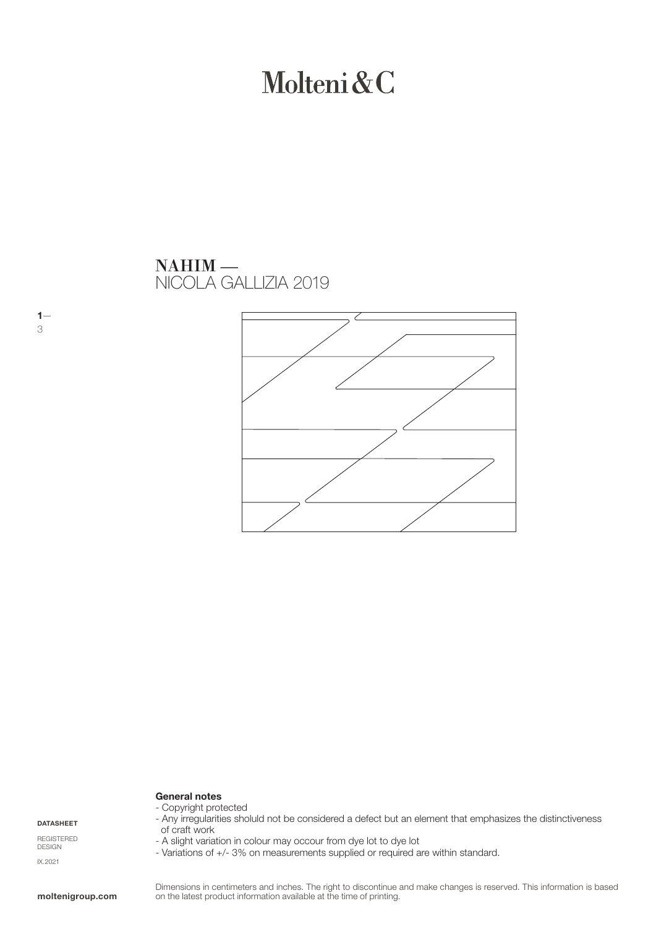## Molteni&C

### NICOLA GALLIZIA 2019 NAHIM —



#### General notes

DATASHEET

 $1-$ 3

REGISTERED DESIGN IX.2021

- Copyright protected - Any irregularities sholuld not be considered a defect but an element that emphasizes the distinctiveness of craft work

- A slight variation in colour may occour from dye lot to dye lot
- Variations of +/- 3% on measurements supplied or required are within standard.

Dimensions in centimeters and inches. The right to discontinue and make changes is reserved. This information is based on the latest product information available at the time of printing.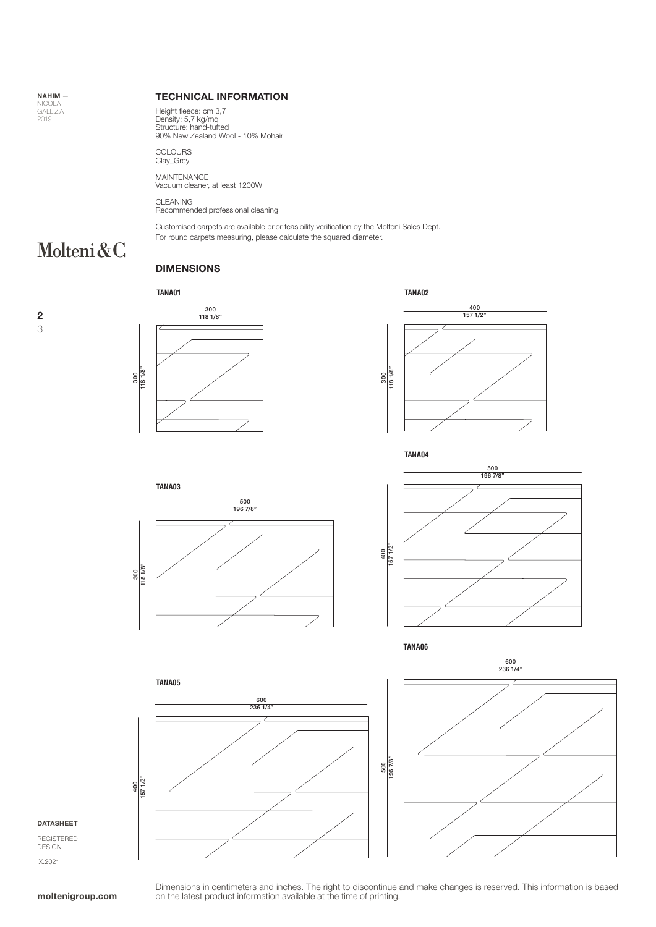NAHIM — NICOLA GALLIZIA 2019

#### TECHNICAL INFORMATION

Height fleece: cm 3,7 Density: 5,7 kg/mq Structure: hand-tufted 90% New Zealand Wool - 10% Mohair

COLOURS Clay\_Grey

MAINTENANCE Vacuum cleaner, at least 1200W

CLEANING Recommended professional cleaning

Customised carpets are available prior feasibility verification by the Molteni Sales Dept.

For round carpets measuring, please calculate the squared diameter.

### Molteni&C

#### DIMENSIONS

#### **TANA01**













**TANA06**





#### DATASHEET

REGISTERED DESIGN IX.2021

Dimensions in centimeters and inches. The right to discontinue and make changes is reserved. This information is based on the latest product information available at the time of printing.